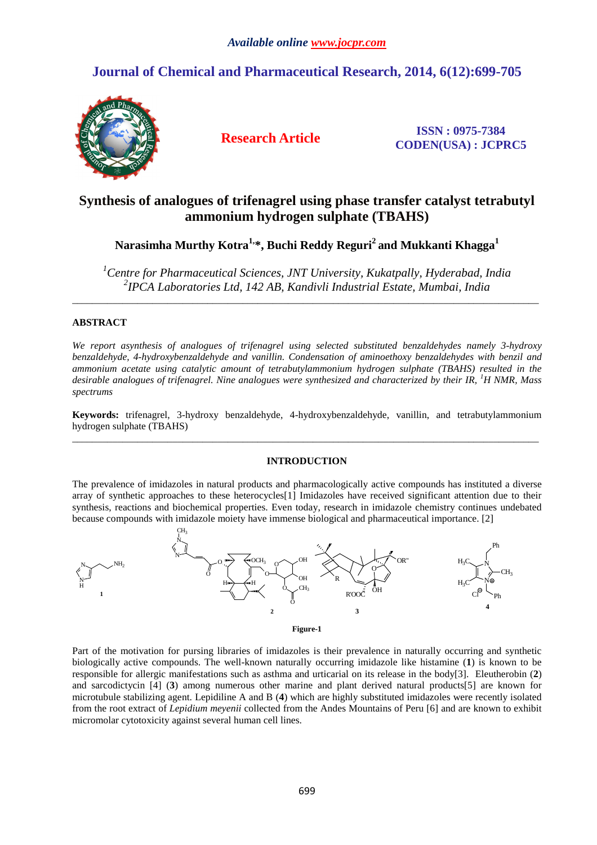# **Journal of Chemical and Pharmaceutical Research, 2014, 6(12):699-705**



**Research Article ISSN : 0975-7384 CODEN(USA) : JCPRC5**

# **Synthesis of analogues of trifenagrel using phase transfer catalyst tetrabutyl ammonium hydrogen sulphate (TBAHS)**

**Narasimha Murthy Kotra1,\*, Buchi Reddy Reguri<sup>2</sup>and Mukkanti Khagga<sup>1</sup>**

*<sup>1</sup>Centre for Pharmaceutical Sciences, JNT University, Kukatpally, Hyderabad, India 2 IPCA Laboratories Ltd, 142 AB, Kandivli Industrial Estate, Mumbai, India* 

\_\_\_\_\_\_\_\_\_\_\_\_\_\_\_\_\_\_\_\_\_\_\_\_\_\_\_\_\_\_\_\_\_\_\_\_\_\_\_\_\_\_\_\_\_\_\_\_\_\_\_\_\_\_\_\_\_\_\_\_\_\_\_\_\_\_\_\_\_\_\_\_\_\_\_\_\_\_\_\_\_\_\_\_\_\_\_\_\_\_\_\_\_

### **ABSTRACT**

*We report asynthesis of analogues of trifenagrel using selected substituted benzaldehydes namely 3-hydroxy benzaldehyde, 4-hydroxybenzaldehyde and vanillin. Condensation of aminoethoxy benzaldehydes with benzil and ammonium acetate using catalytic amount of tetrabutylammonium hydrogen sulphate (TBAHS) resulted in the desirable analogues of trifenagrel. Nine analogues were synthesized and characterized by their IR, <sup>1</sup>H NMR, Mass spectrums* 

**Keywords:** trifenagrel, 3-hydroxy benzaldehyde, 4-hydroxybenzaldehyde, vanillin, and tetrabutylammonium hydrogen sulphate (TBAHS) \_\_\_\_\_\_\_\_\_\_\_\_\_\_\_\_\_\_\_\_\_\_\_\_\_\_\_\_\_\_\_\_\_\_\_\_\_\_\_\_\_\_\_\_\_\_\_\_\_\_\_\_\_\_\_\_\_\_\_\_\_\_\_\_\_\_\_\_\_\_\_\_\_\_\_\_\_\_\_\_\_\_\_\_\_\_\_\_\_\_\_\_\_

### **INTRODUCTION**

The prevalence of imidazoles in natural products and pharmacologically active compounds has instituted a diverse array of synthetic approaches to these heterocycles[1] Imidazoles have received significant attention due to their synthesis, reactions and biochemical properties. Even today, research in imidazole chemistry continues undebated because compounds with imidazole moiety have immense biological and pharmaceutical importance. [2]



**Figure-1** 

Part of the motivation for pursing libraries of imidazoles is their prevalence in naturally occurring and synthetic biologically active compounds. The well-known naturally occurring imidazole like histamine (**1**) is known to be responsible for allergic manifestations such as asthma and urticarial on its release in the body[3]. Eleutherobin (**2**) and sarcodictycin [4] (**3**) among numerous other marine and plant derived natural products[5] are known for microtubule stabilizing agent. Lepidiline A and B (**4**) which are highly substituted imidazoles were recently isolated from the root extract of *Lepidium meyenii* collected from the Andes Mountains of Peru [6] and are known to exhibit micromolar cytotoxicity against several human cell lines.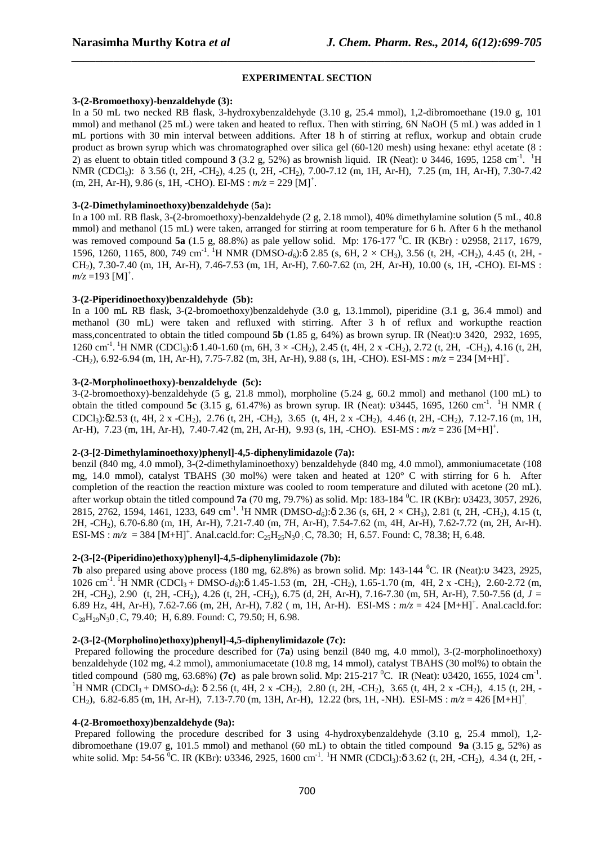### **EXPERIMENTAL SECTION**

*\_\_\_\_\_\_\_\_\_\_\_\_\_\_\_\_\_\_\_\_\_\_\_\_\_\_\_\_\_\_\_\_\_\_\_\_\_\_\_\_\_\_\_\_\_\_\_\_\_\_\_\_\_\_\_\_\_\_\_\_\_\_\_\_\_\_\_\_\_\_\_\_\_\_\_\_\_*

### **3-(2-Bromoethoxy)-benzaldehyde (3):**

In a 50 mL two necked RB flask, 3-hydroxybenzaldehyde (3.10 g, 25.4 mmol), 1,2-dibromoethane (19.0 g, 101 mmol) and methanol (25 mL) were taken and heated to reflux. Then with stirring, 6N NaOH (5 mL) was added in 1 mL portions with 30 min interval between additions. After 18 h of stirring at reflux, workup and obtain crude product as brown syrup which was chromatographed over silica gel (60-120 mesh) using hexane: ethyl acetate (8 : 2) as eluent to obtain titled compound  $3$  (3.2 g, 52%) as brownish liquid. IR (Neat):  $\upsilon$  3446, 1695, 1258 cm<sup>-1</sup>. <sup>1</sup>H NMR (CDCl<sub>3</sub>): δ 3.56 (t, 2H, -CH<sub>2</sub>), 4.25 (t, 2H, -CH<sub>2</sub>), 7.00-7.12 (m, 1H, Ar-H), 7.25 (m, 1H, Ar-H), 7.30-7.42  $(m, 2H, Ar-H)$ , 9.86 (s, 1H, -CHO). EI-MS :  $m/z = 229$  [M]<sup>+</sup>.

### **3-(2-Dimethylaminoethoxy)benzaldehyde** (**5a**)**:**

In a 100 mL RB flask, 3-(2-bromoethoxy)-benzaldehyde (2 g, 2.18 mmol), 40% dimethylamine solution (5 mL, 40.8 mmol) and methanol (15 mL) were taken, arranged for stirring at room temperature for 6 h. After 6 h the methanol was removed compound **5a** (1.5 g, 88.8%) as pale yellow solid. Mp: 176-177 <sup>0</sup>C. IR (KBr) : υ2958, 2117, 1679, 1596, 1260, 1165, 800, 749 cm<sup>-1</sup>. <sup>1</sup>H NMR (DMSO- $d_6$ ):δ 2.85 (s, 6H, 2 × CH<sub>3</sub>), 3.56 (t, 2H, -CH<sub>2</sub>), 4.45 (t, 2H, -CH2), 7.30-7.40 (m, 1H, Ar-H), 7.46-7.53 (m, 1H, Ar-H), 7.60-7.62 (m, 2H, Ar-H), 10.00 (s, 1H, -CHO). EI-MS :  $m/z = 193$  [M]<sup>+</sup>.

### **3-(2-Piperidinoethoxy)benzaldehyde (5b):**

In a 100 mL RB flask, 3-(2-bromoethoxy)benzaldehyde (3.0 g, 13.1mmol), piperidine (3.1 g, 36.4 mmol) and methanol (30 mL) were taken and refluxed with stirring. After 3 h of reflux and workupthe reaction mass,concentrated to obtain the titled compound **5b** (1.85 g, 64%) as brown syrup. IR (Neat):υ 3420, 2932, 1695, 1260 cm<sup>-1</sup>. <sup>1</sup>H NMR (CDCl<sub>3</sub>):δ 1.40-1.60 (m, 6H, 3 × -CH<sub>2</sub>), 2.45 (t, 4H, 2 x -CH<sub>2</sub>), 2.72 (t, 2H, -CH<sub>2</sub>), 4.16 (t, 2H,  $-CH_2$ ), 6.92-6.94 (m, 1H, Ar-H), 7.75-7.82 (m, 3H, Ar-H), 9.88 (s, 1H, -CHO). ESI-MS :  $m/z = 234$  [M+H]<sup>+</sup>.

### **3-(2-Morpholinoethoxy)-benzaldehyde (5c):**

3-(2-bromoethoxy)-benzaldehyde (5 g, 21.8 mmol), morpholine (5.24 g, 60.2 mmol) and methanol (100 mL) to obtain the titled compound 5c (3.15 g, 61.47%) as brown syrup. IR (Neat): υ3445, 1695, 1260 cm<sup>-1</sup>. <sup>1</sup>H NMR (  $CDCl<sub>3</sub>$ : $\delta$ 2.53 (t, 4H, 2 x -CH<sub>2</sub>), 2.76 (t, 2H, -CH<sub>2</sub>), 3.65 (t, 4H, 2 x -CH<sub>2</sub>), 4.46 (t, 2H, -CH<sub>2</sub>), 7.12-7.16 (m, 1H, Ar-H), 7.23 (m, 1H, Ar-H), 7.40-7.42 (m, 2H, Ar-H), 9.93 (s, 1H, -CHO). ESI-MS :  $m/z = 236$  [M+H]<sup>+</sup>.

### **2-(3-[2-Dimethylaminoethoxy)phenyl]-4,5-diphenylimidazole (7a):**

benzil (840 mg, 4.0 mmol), 3-(2-dimethylaminoethoxy) benzaldehyde (840 mg, 4.0 mmol), ammoniumacetate (108 mg, 14.0 mmol), catalyst TBAHS (30 mol%) were taken and heated at 120° C with stirring for 6 h. After completion of the reaction the reaction mixture was cooled to room temperature and diluted with acetone (20 mL). after workup obtain the titled compound **7a** (70 mg, 79.7%) as solid. Mp: 183-184 <sup>0</sup>C. IR (KBr): υ3423, 3057, 2926, 2815, 2762, 1594, 1461, 1233, 649 cm<sup>-1</sup>. <sup>1</sup>H NMR (DMSO- $d_6$ ):δ 2.36 (s, 6H, 2 × CH<sub>3</sub>), 2.81 (t, 2H, -CH<sub>2</sub>), 4.15 (t, 2H, -CH2), 6.70-6.80 (m, 1H, Ar-H), 7.21-7.40 (m, 7H, Ar-H), 7.54-7.62 (m, 4H, Ar-H), 7.62-7.72 (m, 2H, Ar-H).  $ESI-MS : m/z = 384 [M+H]<sup>+</sup>$ . Anal.cacld.for:  $C_{25}H_{25}N_30$  : C, 78.30; H, 6.57. Found: C, 78.38; H, 6.48.

#### **2-(3-[2-(Piperidino)ethoxy)phenyl]-4,5-diphenylimidazole (7b):**

**7b** also prepared using above process (180 mg, 62.8%) as brown solid. Mp: 143-144 <sup>0</sup>C. IR (Neat):υ 3423, 2925, 1026 cm<sup>-1</sup>. <sup>1</sup>H NMR (CDCl<sub>3</sub> + DMSO-*d*<sub>6</sub>):δ 1.45-1.53 (m, 2H, -CH<sub>2</sub>), 1.65-1.70 (m, 4H, 2 x -CH<sub>2</sub>), 2.60-2.72 (m, 2H, -CH2), 2.90 (t, 2H, -CH2), 4.26 (t, 2H, -CH2), 6.75 (d, 2H, Ar-H), 7.16-7.30 (m, 5H, Ar-H), 7.50-7.56 (d, *J =*  6.89 Hz, 4H, Ar-H), 7.62-7.66 (m, 2H, Ar-H), 7.82 (m, 1H, Ar-H). ESI-MS :  $m/z = 424$  [M+H]<sup>+</sup>. Anal.cacld.for:  $C_{28}H_{29}N_30$  : C, 79.40; H, 6.89. Found: C, 79.50; H, 6.98.

### **2-(3-[2-(Morpholino)ethoxy)phenyl]-4,5-diphenylimidazole (7c):**

 Prepared following the procedure described for (**7a**) using benzil (840 mg, 4.0 mmol), 3-(2-morpholinoethoxy) benzaldehyde (102 mg, 4.2 mmol), ammoniumacetate (10.8 mg, 14 mmol), catalyst TBAHS (30 mol%) to obtain the titled compound (580 mg, 63.68%) **(7c)** as pale brown solid. Mp: 215-217 <sup>0</sup>C. IR (Neat):  $\upsilon$ 3420, 1655, 1024 cm<sup>-1</sup>. <sup>1</sup>H NMR (CDCl<sub>3</sub> + DMSO-*d<sub>6</sub>*):  $\delta$  2.56 (t, 4H, 2 x -CH<sub>2</sub>), 2.80 (t, 2H, -CH<sub>2</sub>), 3.65 (t, 4H, 2 x -CH<sub>2</sub>), 4.15 (t, 2H, -CH<sub>2</sub>), 6.82-6.85 (m, 1H, Ar-H), 7.13-7.70 (m, 13H, Ar-H), 12.22 (brs, 1H, -NH). ESI-MS :  $m/z = 426$  [M+H]<sup>+</sup>

### **4-(2-Bromoethoxy)benzaldehyde (9a):**

Prepared following the procedure described for **3** using 4-hydroxybenzaldehyde (3.10 g, 25.4 mmol), 1,2dibromoethane (19.07 g, 101.5 mmol) and methanol (60 mL) to obtain the titled compound **9a** (3.15 g, 52%) as white solid. Mp: 54-56 <sup>0</sup>C. IR (KBr): υ3346, 2925, 1600 cm<sup>-1</sup>. <sup>1</sup>H NMR (CDCl<sub>3</sub>):δ 3.62 (t, 2H, -CH<sub>2</sub>), 4.34 (t, 2H, -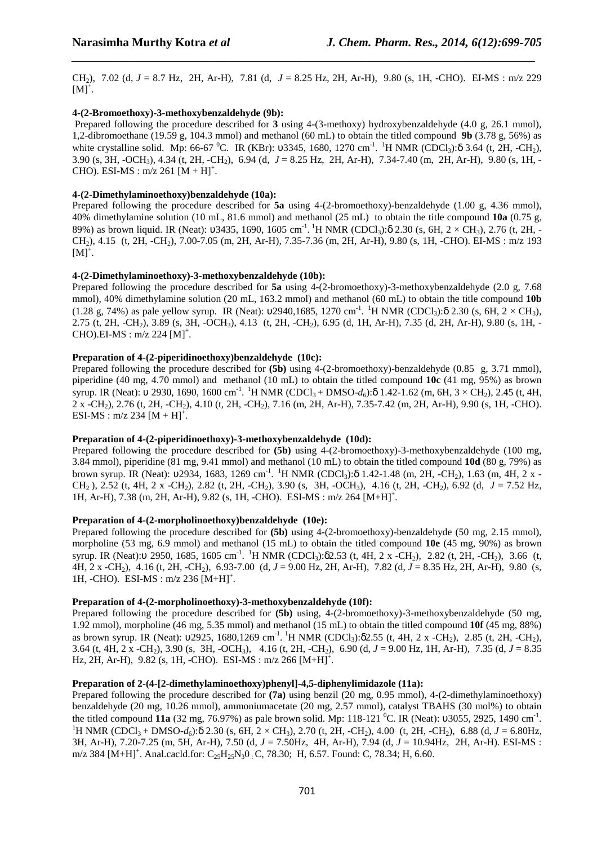CH2), 7.02 (d, *J* = 8.7 Hz, 2H, Ar-H), 7.81 (d, *J* = 8.25 Hz, 2H, Ar-H), 9.80 (s, 1H, -CHO). EI-MS : m/z 229  $[M]^+$ .

*\_\_\_\_\_\_\_\_\_\_\_\_\_\_\_\_\_\_\_\_\_\_\_\_\_\_\_\_\_\_\_\_\_\_\_\_\_\_\_\_\_\_\_\_\_\_\_\_\_\_\_\_\_\_\_\_\_\_\_\_\_\_\_\_\_\_\_\_\_\_\_\_\_\_\_\_\_*

### **4-(2-Bromoethoxy)-3-methoxybenzaldehyde (9b):**

 Prepared following the procedure described for **3** using 4-(3-methoxy) hydroxybenzaldehyde (4.0 g, 26.1 mmol), 1,2-dibromoethane (19.59 g, 104.3 mmol) and methanol (60 mL) to obtain the titled compound **9b** (3.78 g, 56%) as white crystalline solid. Mp: 66-67 <sup>0</sup>C. IR (KBr): υ3345, 1680, 1270 cm<sup>-1</sup>. <sup>1</sup>H NMR (CDCl<sub>3</sub>):δ 3.64 (t, 2H, -CH<sub>2</sub>), 3.90 (s, 3H, -OCH3), 4.34 (t, 2H, -CH2), 6.94 (d, *J* = 8.25 Hz, 2H, Ar-H), 7.34-7.40 (m, 2H, Ar-H), 9.80 (s, 1H, - CHO). ESI-MS :  $m/z$  261  $[M + H]$ <sup>+</sup>.

### **4-(2-Dimethylaminoethoxy)benzaldehyde (10a):**

Prepared following the procedure described for **5a** using 4-(2-bromoethoxy)-benzaldehyde (1.00 g, 4.36 mmol), 40% dimethylamine solution (10 mL, 81.6 mmol) and methanol (25 mL) to obtain the title compound **10a** (0.75 g, 89%) as brown liquid. IR (Neat):  $\upsilon$ 3435, 1690, 1605 cm<sup>-1</sup>. <sup>1</sup>H NMR (CDCl<sub>3</sub>): $\delta$  2.30 (s, 6H, 2 × CH<sub>3</sub>), 2.76 (t, 2H, -CH2), 4.15 (t, 2H, -CH2), 7.00-7.05 (m, 2H, Ar-H), 7.35-7.36 (m, 2H, Ar-H), 9.80 (s, 1H, -CHO). EI-MS : m/z 193  $[M]^+.$ 

### **4-(2-Dimethylaminoethoxy)-3-methoxybenzaldehyde (10b):**

Prepared following the procedure described for **5a** using 4-(2-bromoethoxy)-3-methoxybenzaldehyde (2.0 g, 7.68 mmol), 40% dimethylamine solution (20 mL, 163.2 mmol) and methanol (60 mL) to obtain the title compound **10b** (1.28 g, 74%) as pale yellow syrup. IR (Neat):  $v2940,1685, 1270 \text{ cm}^{-1}$ . <sup>1</sup>H NMR (CDCl<sub>3</sub>): $\delta$  2.30 (s, 6H, 2 × CH<sub>3</sub>), 2.75 (t, 2H, -CH2), 3.89 (s, 3H, -OCH3), 4.13 (t, 2H, -CH2), 6.95 (d, 1H, Ar-H), 7.35 (d, 2H, Ar-H), 9.80 (s, 1H, -  $CHO$ ).EI-MS : m/z 224 [M]<sup>+</sup>.

## **Preparation of 4-(2-piperidinoethoxy)benzaldehyde (10c):**

Prepared following the procedure described for **(5b)** using 4-(2-bromoethoxy)-benzaldehyde (0.85 g, 3.71 mmol), piperidine (40 mg, 4.70 mmol) and methanol (10 mL) to obtain the titled compound **10c** (41 mg, 95%) as brown syrup. IR (Neat): v 2930, 1690, 1600 cm<sup>-1</sup>. <sup>1</sup>H NMR (CDCl<sub>3</sub> + DMSO- $d_6$ ):δ 1.42-1.62 (m, 6H, 3 × CH<sub>2</sub>), 2.45 (t, 4H, 2 x -CH2), 2.76 (t, 2H, -CH2), 4.10 (t, 2H, -CH2), 7.16 (m, 2H, Ar-H), 7.35-7.42 (m, 2H, Ar-H), 9.90 (s, 1H, -CHO). ESI-MS :  $m/z$  234  $[M + H]$ <sup>+</sup>.

### **Preparation of 4-(2-piperidinoethoxy)-3-methoxybenzaldehyde (10d):**

Prepared following the procedure described for **(5b)** using 4-(2-bromoethoxy)-3-methoxybenzaldehyde (100 mg, 3.84 mmol), piperidine (81 mg, 9.41 mmol) and methanol (10 mL) to obtain the titled compound **10d** (80 g, 79%) as brown syrup. IR (Neat): υ2934, 1683, 1269 cm<sup>-1</sup>. <sup>1</sup>H NMR (CDCl<sub>3</sub>):δ 1.42-1.48 (m, 2H, -CH<sub>2</sub>), 1.63 (m, 4H, 2 x -CH2 ), 2.52 (t, 4H, 2 x -CH2), 2.82 (t, 2H, -CH2), 3.90 (s, 3H, -OCH3), 4.16 (t, 2H, -CH2), 6.92 (d, *J* = 7.52 Hz, 1H, Ar-H), 7.38 (m, 2H, Ar-H), 9.82 (s, 1H, -CHO). ESI-MS : m/z 264 [M+H]<sup>+</sup>.

### **Preparation of 4-(2-morpholinoethoxy)benzaldehyde (10e):**

Prepared following the procedure described for **(5b)** using 4-(2-bromoethoxy)-benzaldehyde (50 mg, 2.15 mmol), morpholine (53 mg, 6.9 mmol) and methanol (15 mL) to obtain the titled compound **10e** (45 mg, 90%) as brown syrup. IR (Neat):υ 2950, 1685, 1605 cm<sup>-1</sup>. <sup>1</sup>H NMR (CDCl<sub>3</sub>):δ2.53 (t, 4H, 2 x -CH<sub>2</sub>), 2.82 (t, 2H, -CH<sub>2</sub>), 3.66 (t, 4H, 2 x -CH2), 4.16 (t, 2H, -CH2), 6.93-7.00 (d, *J* = 9.00 Hz, 2H, Ar-H), 7.82 (d, *J* = 8.35 Hz, 2H, Ar-H), 9.80 (s, 1H, -CHO). ESI-MS : m/z 236 [M+H]<sup>+</sup>.

### **Preparation of 4-(2-morpholinoethoxy)-3-methoxybenzaldehyde (10f):**

Prepared following the procedure described for **(5b)** using, 4-(2-bromoethoxy)-3-methoxybenzaldehyde (50 mg, 1.92 mmol), morpholine (46 mg, 5.35 mmol) and methanol (15 mL) to obtain the titled compound **10f** (45 mg, 88%) as brown syrup. IR (Neat):  $v2925$ , 1680,1269 cm<sup>-1</sup>. <sup>1</sup>H NMR (CDCl<sub>3</sub>): $\delta$ 2.55 (t, 4H, 2 x -CH<sub>2</sub>), 2.85 (t, 2H, -CH<sub>2</sub>), 3.64 (t, 4H, 2 x -CH2), 3.90 (s, 3H, -OCH3), 4.16 (t, 2H, -CH2), 6.90 (d, *J* = 9.00 Hz, 1H, Ar-H), 7.35 (d, *J* = 8.35 Hz, 2H, Ar-H),  $9.82$  (s, 1H, -CHO). ESI-MS : m/z 266 [M+H]<sup>+</sup>.

### **Preparation of 2-(4-[2-dimethylaminoethoxy)phenyl]-4,5-diphenylimidazole (11a):**

Prepared following the procedure described for **(7a)** using benzil (20 mg, 0.95 mmol), 4-(2-dimethylaminoethoxy) benzaldehyde (20 mg, 10.26 mmol), ammoniumacetate (20 mg, 2.57 mmol), catalyst TBAHS (30 mol%) to obtain the titled compound 11a (32 mg, 76.97%) as pale brown solid. Mp: 118-121 <sup>0</sup>C. IR (Neat):  $\upsilon$ 3055, 2925, 1490 cm<sup>-1</sup>. <sup>1</sup>H NMR (CDCl<sub>3</sub> + DMSO-*d<sub>6</sub>*):δ 2.30 (s, 6H, 2 × CH<sub>3</sub>), 2.70 (t, 2H, -CH<sub>2</sub>), 4.00 (t, 2H, -CH<sub>2</sub>), 6.88 (d, *J* = 6.80Hz, 3H, Ar-H), 7.20-7.25 (m, 5H, Ar-H), 7.50 (d, *J* = 7.50Hz, 4H, Ar-H), 7.94 (d, *J* = 10.94Hz, 2H, Ar-H). ESI-MS : m/z 384 [M+H]<sup>+</sup>. Anal.cacld.for:  $C_{25}H_{25}N_30$  : C, 78.30; H, 6.57. Found: C, 78.34; H, 6.60.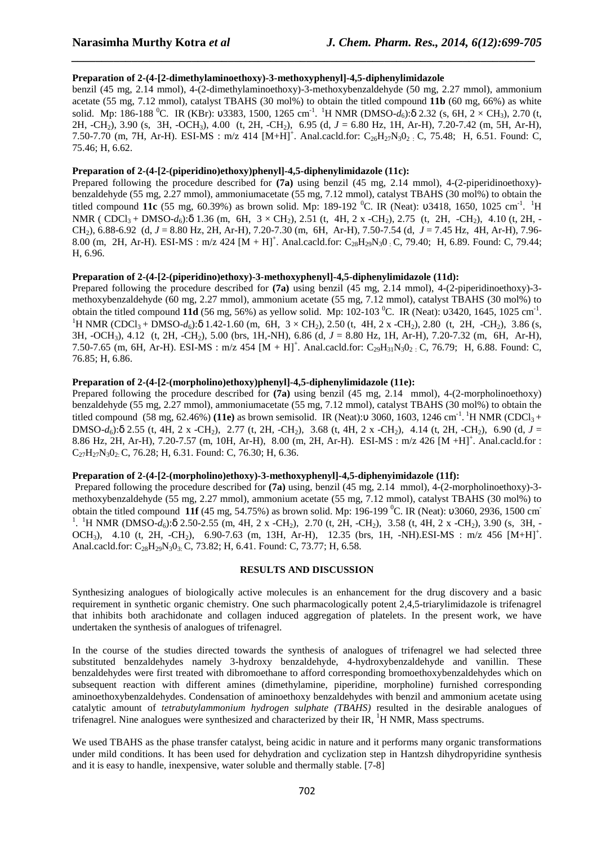### **Preparation of 2-(4-[2-dimethylaminoethoxy)-3-methoxyphenyl]-4,5-diphenylimidazole**

benzil (45 mg, 2.14 mmol), 4-(2-dimethylaminoethoxy)-3-methoxybenzaldehyde (50 mg, 2.27 mmol), ammonium acetate (55 mg, 7.12 mmol), catalyst TBAHS (30 mol%) to obtain the titled compound **11b** (60 mg, 66%) as white solid. Mp: 186-188 <sup>0</sup>C. IR (KBr): υ3383, 1500, 1265 cm<sup>-1</sup>. <sup>1</sup>H NMR (DMSO-*d*<sub>6</sub>):δ 2.32 (s, 6H, 2 × CH<sub>3</sub>), 2.70 (t, 2H, -CH2), 3.90 (s, 3H, -OCH3), 4.00 (t, 2H, -CH2), 6.95 (d, *J* = 6.80 Hz, 1H, Ar-H), 7.20-7.42 (m, 5H, Ar-H), 7.50-7.70 (m, 7H, Ar-H). ESI-MS : m/z 414  $[M+H]^+$ . Anal.cacld.for:  $C_{26}H_{27}N_3O_2$  : C, 75.48; H, 6.51. Found: C, 75.46; H, 6.62.

*\_\_\_\_\_\_\_\_\_\_\_\_\_\_\_\_\_\_\_\_\_\_\_\_\_\_\_\_\_\_\_\_\_\_\_\_\_\_\_\_\_\_\_\_\_\_\_\_\_\_\_\_\_\_\_\_\_\_\_\_\_\_\_\_\_\_\_\_\_\_\_\_\_\_\_\_\_*

# **Preparation of 2-(4-[2-(piperidino)ethoxy)phenyl]-4,5-diphenylimidazole (11c):**

Prepared following the procedure described for **(7a)** using benzil (45 mg, 2.14 mmol), 4-(2-piperidinoethoxy) benzaldehyde (55 mg, 2.27 mmol), ammoniumacetate (55 mg, 7.12 mmol), catalyst TBAHS (30 mol%) to obtain the titled compound 11c (55 mg, 60.39%) as brown solid. Mp: 189-192 <sup>0</sup>C. IR (Neat): υ3418, 1650, 1025 cm<sup>-1</sup>. <sup>1</sup>H NMR ( CDCl<sub>3</sub> + DMSO-*d<sub>6</sub>*):δ 1.36 (m, 6H, 3 × CH<sub>2</sub>), 2.51 (t, 4H, 2 x -CH<sub>2</sub>), 2.75 (t, 2H, -CH<sub>2</sub>), 4.10 (t, 2H, -CH2), 6.88-6.92 (d, *J* = 8.80 Hz, 2H, Ar-H), 7.20-7.30 (m, 6H, Ar-H), 7.50-7.54 (d, *J* = 7.45 Hz, 4H, Ar-H), 7.96- 8.00 (m, 2H, Ar-H). ESI-MS : m/z 424  $[M + H]$ <sup>+</sup>. Anal.cacld.for: C<sub>28</sub>H<sub>29</sub>N<sub>3</sub>0 : C, 79.40; H, 6.89. Found: C, 79.44; H, 6.96.

### **Preparation of 2-(4-[2-(piperidino)ethoxy)-3-methoxyphenyl]-4,5-diphenylimidazole (11d):**

Prepared following the procedure described for **(7a)** using benzil (45 mg, 2.14 mmol), 4-(2-piperidinoethoxy)-3 methoxybenzaldehyde (60 mg, 2.27 mmol), ammonium acetate (55 mg, 7.12 mmol), catalyst TBAHS (30 mol%) to obtain the titled compound **11d** (56 mg, 56%) as yellow solid. Mp: 102-103 <sup>0</sup>C. IR (Neat): 03420, 1645, 1025 cm<sup>-1</sup>. <sup>1</sup>H NMR (CDCl<sub>3</sub> + DMSO-*d<sub>6</sub>*):δ 1.42-1.60 (m, 6H, 3 × CH<sub>2</sub>), 2.50 (t, 4H, 2 x -CH<sub>2</sub>), 2.80 (t, 2H, -CH<sub>2</sub>), 3.86 (s, 3H, -OCH3), 4.12 (t, 2H, -CH2), 5.00 (brs, 1H,-NH), 6.86 (d, *J* = 8.80 Hz, 1H, Ar-H), 7.20-7.32 (m, 6H, Ar-H), 7.50-7.65 (m, 6H, Ar-H). ESI-MS : m/z 454 [M + H]<sup>+</sup>. Anal.cacld.for: C<sub>29</sub>H<sub>31</sub>N<sub>3</sub>O<sub>2</sub> : C, 76.79; H, 6.88. Found: C, 76.85; H, 6.86.

## **Preparation of 2-(4-[2-(morpholino)ethoxy)phenyl]-4,5-diphenylimidazole (11e):**

Prepared following the procedure described for **(7a)** using benzil (45 mg, 2.14 mmol), 4-(2-morpholinoethoxy) benzaldehyde (55 mg, 2.27 mmol), ammoniumacetate (55 mg, 7.12 mmol), catalyst TBAHS (30 mol%) to obtain the titled compound (58 mg, 62.46%) **(11e)** as brown semisolid. IR (Neat):υ 3060, 1603, 1246 cm<sup>-1</sup>. <sup>1</sup>H NMR (CDCl<sub>3</sub> + DMSO- $d_6$ ):δ 2.55 (t, 4H, 2 x -CH<sub>2</sub>), 2.77 (t, 2H, -CH<sub>2</sub>), 3.68 (t, 4H, 2 x -CH<sub>2</sub>), 4.14 (t, 2H, -CH<sub>2</sub>), 6.90 (d,  $J =$ 8.86 Hz, 2H, Ar-H), 7.20-7.57 (m, 10H, Ar-H), 8.00 (m, 2H, Ar-H). ESI-MS : m/z 426 [M +H]<sup>+</sup>. Anal.cacld.for :  $C_{27}H_{27}N_3O_2$ : C, 76.28; H, 6.31. Found: C, 76.30; H, 6.36.

### **Preparation of 2-(4-[2-(morpholino)ethoxy)-3-methoxyphenyl]-4,5-diphenyimidazole (11f):**

 Prepared following the procedure described for **(7a)** using, benzil (45 mg, 2.14 mmol), 4-(2-morpholinoethoxy)-3 methoxybenzaldehyde (55 mg, 2.27 mmol), ammonium acetate (55 mg, 7.12 mmol), catalyst TBAHS (30 mol%) to obtain the titled compound **11f** (45 mg, 54.75%) as brown solid. Mp: 196-199 <sup>0</sup>C. IR (Neat): υ3060, 2936, 1500 cm<sup>-</sup> <sup>1</sup>. <sup>1</sup>H NMR (DMSO- $d_6$ ):δ 2.50-2.55 (m, 4H, 2 x -CH<sub>2</sub>), 2.70 (t, 2H, -CH<sub>2</sub>), 3.58 (t, 4H, 2 x -CH<sub>2</sub>), 3.90 (s, 3H, -OCH<sub>3</sub>), 4.10 (t, 2H, -CH<sub>2</sub>), 6.90-7.63 (m, 13H, Ar-H), 12.35 (brs, 1H, -NH).ESI-MS : m/z 456 [M+H]<sup>+</sup>. Anal.cacld.for:  $C_{28}H_{29}N_3O_3$ . C, 73.82; H, 6.41. Found: C, 73.77; H, 6.58.

### **RESULTS AND DISCUSSION**

Synthesizing analogues of biologically active molecules is an enhancement for the drug discovery and a basic requirement in synthetic organic chemistry. One such pharmacologically potent 2,4,5-triarylimidazole is trifenagrel that inhibits both arachidonate and collagen induced aggregation of platelets. In the present work, we have undertaken the synthesis of analogues of trifenagrel.

In the course of the studies directed towards the synthesis of analogues of trifenagrel we had selected three substituted benzaldehydes namely 3-hydroxy benzaldehyde, 4-hydroxybenzaldehyde and vanillin. These benzaldehydes were first treated with dibromoethane to afford corresponding bromoethoxybenzaldehydes which on subsequent reaction with different amines (dimethylamine, piperidine, morpholine) furnished corresponding aminoethoxybenzaldehydes. Condensation of aminoethoxy benzaldehydes with benzil and ammonium acetate using catalytic amount of *tetrabutylammonium hydrogen sulphate (TBAHS)* resulted in the desirable analogues of trifenagrel. Nine analogues were synthesized and characterized by their IR,  ${}^{1}$ H NMR, Mass spectrums.

We used TBAHS as the phase transfer catalyst, being acidic in nature and it performs many organic transformations under mild conditions. It has been used for dehydration and cyclization step in Hantzsh dihydropyridine synthesis and it is easy to handle, inexpensive, water soluble and thermally stable. [7-8]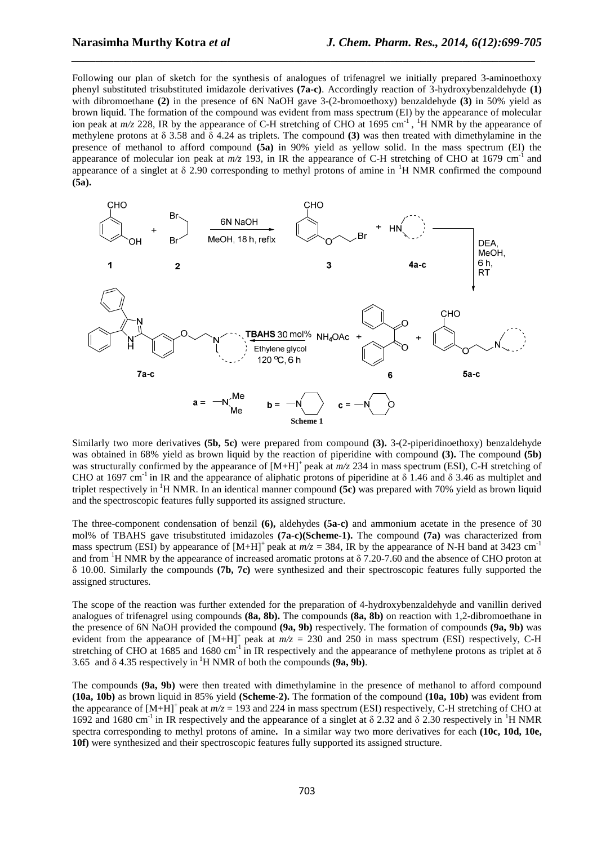Following our plan of sketch for the synthesis of analogues of trifenagrel we initially prepared 3-aminoethoxy phenyl substituted trisubstituted imidazole derivatives **(7a-c)**. Accordingly reaction of 3-hydroxybenzaldehyde **(1)** with dibromoethane **(2)** in the presence of 6N NaOH gave 3-(2-bromoethoxy) benzaldehyde **(3)** in 50% yield as brown liquid. The formation of the compound was evident from mass spectrum (EI) by the appearance of molecular ion peak at  $m/z$  228, IR by the appearance of C-H stretching of CHO at 1695 cm<sup>-1</sup>, <sup>1</sup>H NMR by the appearance of methylene protons at δ 3.58 and δ 4.24 as triplets. The compound **(3)** was then treated with dimethylamine in the presence of methanol to afford compound **(5a)** in 90% yield as yellow solid. In the mass spectrum (EI) the appearance of molecular ion peak at  $m/z$  193, in IR the appearance of C-H stretching of CHO at 1679 cm<sup>-1</sup> and appearance of a singlet at  $\delta$  2.90 corresponding to methyl protons of amine in <sup>1</sup>H NMR confirmed the compound **(5a).**

*\_\_\_\_\_\_\_\_\_\_\_\_\_\_\_\_\_\_\_\_\_\_\_\_\_\_\_\_\_\_\_\_\_\_\_\_\_\_\_\_\_\_\_\_\_\_\_\_\_\_\_\_\_\_\_\_\_\_\_\_\_\_\_\_\_\_\_\_\_\_\_\_\_\_\_\_\_*



Similarly two more derivatives **(5b, 5c)** were prepared from compound **(3).** 3-(2-piperidinoethoxy) benzaldehyde was obtained in 68% yield as brown liquid by the reaction of piperidine with compound **(3).** The compound **(5b)** was structurally confirmed by the appearance of  $[M+H]^+$  peak at  $m/z$  234 in mass spectrum (ESI), C-H stretching of CHO at 1697 cm<sup>-1</sup> in IR and the appearance of aliphatic protons of piperidine at  $\delta$  1.46 and  $\delta$  3.46 as multiplet and triplet respectively in <sup>1</sup>H NMR. In an identical manner compound (5c) was prepared with 70% yield as brown liquid and the spectroscopic features fully supported its assigned structure.

The three-component condensation of benzil **(6),** aldehydes **(5a-c)** and ammonium acetate in the presence of 30 mol% of TBAHS gave trisubstituted imidazoles **(7a-c)(Scheme-1).** The compound **(7a)** was characterized from mass spectrum (ESI) by appearance of  $[M+H]^+$  peak at  $m/z = 384$ , IR by the appearance of N-H band at 3423 cm<sup>-1</sup> and from <sup>1</sup>H NMR by the appearance of increased aromatic protons at  $\delta$  7.20-7.60 and the absence of CHO proton at δ 10.00. Similarly the compounds **(7b, 7c)** were synthesized and their spectroscopic features fully supported the assigned structures.

The scope of the reaction was further extended for the preparation of 4-hydroxybenzaldehyde and vanillin derived analogues of trifenagrel using compounds **(8a, 8b).** The compounds **(8a, 8b)** on reaction with 1,2-dibromoethane in the presence of 6N NaOH provided the compound **(9a, 9b)** respectively. The formation of compounds **(9a, 9b)** was evident from the appearance of  $[M+H]^+$  peak at  $m/z = 230$  and 250 in mass spectrum (ESI) respectively, C-H stretching of CHO at 1685 and 1680 cm<sup>-1</sup> in IR respectively and the appearance of methylene protons as triplet at  $\delta$ 3.65 and  $\delta$  4.35 respectively in <sup>1</sup>H NMR of both the compounds **(9a, 9b)**.

The compounds **(9a, 9b)** were then treated with dimethylamine in the presence of methanol to afford compound **(10a, 10b)** as brown liquid in 85% yield **(Scheme-2).** The formation of the compound **(10a, 10b)** was evident from the appearance of  $[M+H]^+$  peak at  $m/z = 193$  and 224 in mass spectrum (ESI) respectively, C-H stretching of CHO at 1692 and 1680 cm<sup>-1</sup> in IR respectively and the appearance of a singlet at  $\delta$  2.32 and  $\delta$  2.30 respectively in <sup>1</sup>H NMR spectra corresponding to methyl protons of amine**.** In a similar way two more derivatives for each **(10c, 10d, 10e, 10f)** were synthesized and their spectroscopic features fully supported its assigned structure.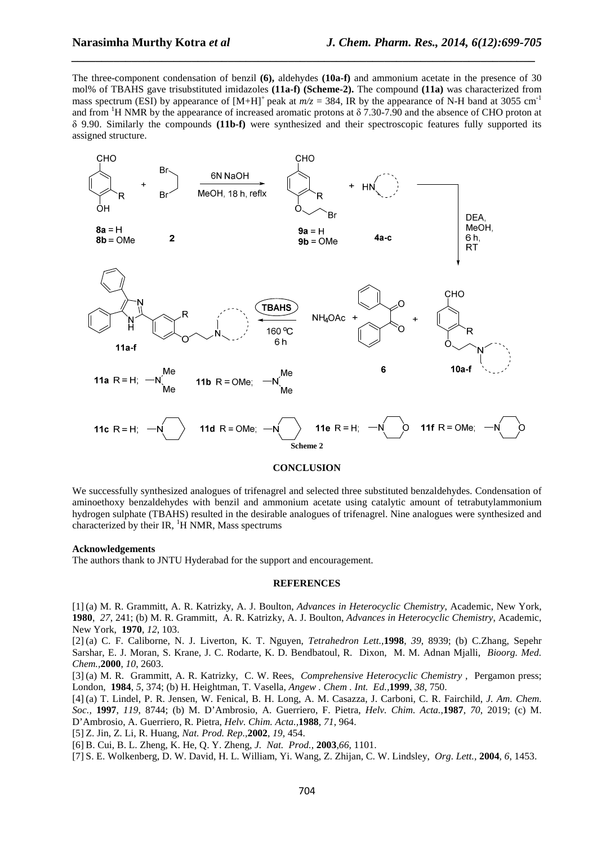The three-component condensation of benzil **(6),** aldehydes **(10a-f)** and ammonium acetate in the presence of 30 mol% of TBAHS gave trisubstituted imidazoles **(11a-f) (Scheme-2).** The compound **(11a)** was characterized from mass spectrum (ESI) by appearance of  $[M+H]^+$  peak at  $m/z = 384$ , IR by the appearance of N-H band at 3055 cm<sup>-1</sup> and from <sup>1</sup>H NMR by the appearance of increased aromatic protons at  $\delta$  7.30-7.90 and the absence of CHO proton at δ 9.90. Similarly the compounds **(11b-f)** were synthesized and their spectroscopic features fully supported its assigned structure.

*\_\_\_\_\_\_\_\_\_\_\_\_\_\_\_\_\_\_\_\_\_\_\_\_\_\_\_\_\_\_\_\_\_\_\_\_\_\_\_\_\_\_\_\_\_\_\_\_\_\_\_\_\_\_\_\_\_\_\_\_\_\_\_\_\_\_\_\_\_\_\_\_\_\_\_\_\_*



#### **CONCLUSION**

We successfully synthesized analogues of trifenagrel and selected three substituted benzaldehydes. Condensation of aminoethoxy benzaldehydes with benzil and ammonium acetate using catalytic amount of tetrabutylammonium hydrogen sulphate (TBAHS) resulted in the desirable analogues of trifenagrel. Nine analogues were synthesized and characterized by their IR,  $H$  NMR, Mass spectrums

#### **Acknowledgements**

The authors thank to JNTU Hyderabad for the support and encouragement.

#### **REFERENCES**

[1] (a) M. R. Grammitt, A. R. Katrizky, A. J. Boulton, *Advances in Heterocyclic Chemistry*, Academic, New York, **1980**, *27*, 241; (b) M. R. Grammitt, A. R. Katrizky, A. J. Boulton, *Advances in Heterocyclic Chemistry*, Academic, New York, **1970**, *12*, 103.

[2] (a) C. F. Caliborne, N. J. Liverton, K. T. Nguyen, *Tetrahedron Lett.,***1998**, *39*, 8939; (b) C.Zhang, Sepehr Sarshar, E. J. Moran, S. Krane, J. C. Rodarte, K. D. Bendbatoul, R. Dixon, M. M. Adnan Mjalli, *Bioorg. Med. Chem.,***2000**, *10*, 2603.

[3] (a) M. R. Grammitt, A. R. Katrizky, C. W. Rees, *Comprehensive Heterocyclic Chemistry ,* Pergamon press; London, **1984**, *5*, 374; (b) H. Heightman, T. Vasella, *Angew . Chem . Int. Ed.,***1999**, *38*, 750.

[4] (a) T. Lindel, P. R. Jensen, W. Fenical, B. H. Long, A. M. Casazza, J. Carboni, C. R. Fairchild, *J. Am. Chem. Soc.,* **1997**, *119*, 8744; (b) M. D'Ambrosio, A. Guerriero, F. Pietra, *Helv. Chim. Acta.,***1987**, *70*, 2019; (c) M. D'Ambrosio, A. Guerriero, R. Pietra, *Helv. Chim. Acta.,***1988**, *71*, 964.

[5] Z. Jin, Z. Li, R. Huang, *Nat. Prod. Rep.,***2002**, *19,* 454.

[6] B. Cui, B. L. Zheng, K. He, Q. Y. Zheng, *J. Nat. Prod.*, **2003**,*66,* 1101.

[7] S. E. Wolkenberg, D. W. David, H. L. William, Yi. Wang, Z. Zhijan, C. W. Lindsley, *Org. Lett.,* **2004**, *6*, 1453.